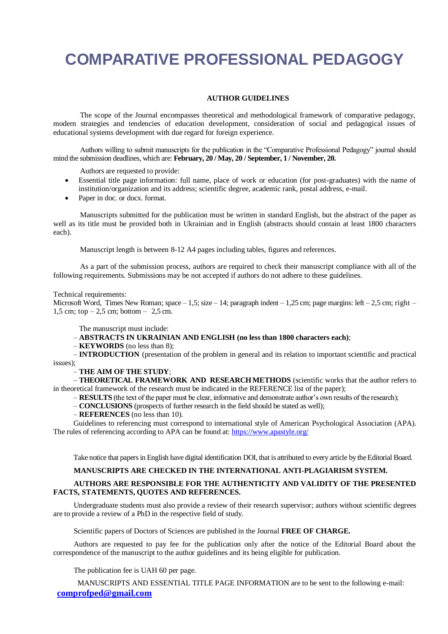# **COMPARATIVE PROFESSIONAL PEDAGOGY**

# **AUTHOR GUIDELINES**

The scope of the Journal encompasses theoretical and methodological framework of comparative pedagogy, modern strategies and tendencies of education development, consideration of social and pedagogical issues of educational systems development with due regard for foreign experience.

Authors willing to submit manuscripts for the publication in the "Comparative Professional Pedagogy" journal should mind the submission deadlines, which are: **February, 20 / May, 20 / September, 1 / November, 20.**

Authors are requested to provide:

- Essential title page information: full name, place of work or education (for post-graduates) with the name of institution/organization and its address; scientific degree, academic rank, postal address, e-mail.
- Paper in doc. or docx. format.

Manuscripts submitted for the publication must be written in standard English, but the abstract of the paper as well as its title must be provided both in Ukrainian and in English (abstracts should contain at least 1800 characters each).

Manuscript length is between 8-12 A4 pages including tables, figures and references.

As a part of the submission process, authors are required to check their manuscript compliance with all of the following requirements. Submissions may be not accepted if authors do not adhere to these guidelines.

### Technical requirements:

Microsoft Word, Times New Roman; space – 1,5; size – 14; paragraph indent – 1,25 cm; page margins: left – 2,5 cm; right – 1,5 cm; top  $-2,5$  cm; bottom  $-2,5$  cm.

The manuscript must include:

– **ABSTRACTS IN UKRAINIAN AND ENGLISH (no less than 1800 characters each)**;

– **KEYWORDS** (no less than 8);

– **INTRODUCTION** (presentation of the problem in general and its relation to important scientific and practical issues);

#### – **THE AIM OF THE STUDY**;

– **THEORETICAL FRAMEWORK AND RESEARCHMETHODS** (scientific works that the author refers to in theoretical framework of the research must be indicated in the REFERENCE list of the paper);

– **RESULTS** (the text of the paper must be clear, informative and demonstrate author's own results of the research);

– **CONCLUSIONS** (prospects of further research in the field should be stated as well);

– **REFERENCES** (no less than 10).

Guidelines to referencing must correspond to international style of American Psychological Association (APA). The rules of referencing according to APA can be found at:<https://www.apastyle.org/>

Take notice that papers in English have digital identification DOI, that is attributed to every article by the Editorial Board.

# **MANUSCRIPTS ARE CHECKED IN THE INTERNATIONAL ANTI-PLAGIARISM SYSTEM.**

# **AUTHORS ARE RESPONSIBLE FOR THE AUTHENTICITY AND VALIDITY OF THE PRESENTED FACTS, STATEMENTS, QUOTES AND REFERENCES.**

Undergraduate students must also provide a review of their research supervisor; authors without scientific degrees are to provide a review of a PhD in the respective field of study.

Scientific papers of Doctors of Sciences are published in the Journal **FREE OF CHARGE.** 

Authors are requested to pay fee for the publication only after the notice of the Editorial Board about the correspondence of the manuscript to the author guidelines and its being eligible for publication.

The publication fee is UAH 60 per page.

MANUSCRIPTS AND ESSENTIAL TITLE PAGE INFORMATION are to be sent to the following e-mail: **[comprofped@gmail.com](mailto:comprofped@gmail.com)**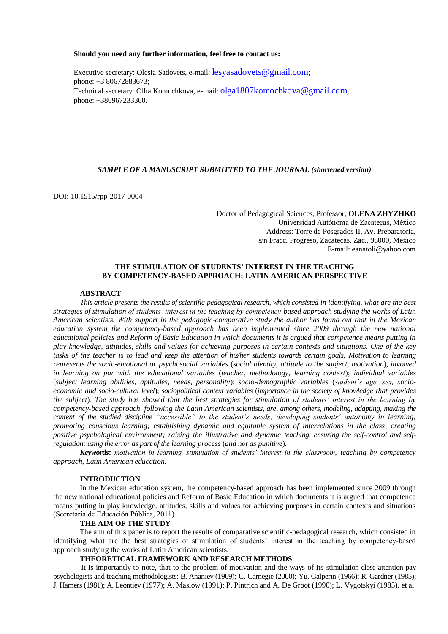#### **Should you need any further information, feel free to contact us:**

Executive secretary: Olesia Sadovets, e-mail: [lesyasadovets@gmail.com](mailto:lesyasadovets@gmail.com); phone: +3 80672883673; Technical secretary: Olha Komochkova, e-mail: [olga1807komochkova@gmail.com](mailto:olga1807komochkova@gmail.com), phone: +380967233360.

# *SAMPLE OF A MANUSCRIPT SUBMITTED TO THE JOURNAL (shortened version)*

DOI: 10.1515/rpp-2017-0004

Doctor оf Pedagogical Sciences, Professor, **OLENA ZHYZHKO** Universidad Autónoma de Zacatecas, México Address: Torre de Posgrados II, Av. Preparatoria, s/n Fracc. Progreso, Zacatecas, Zac., 98000, Mexico E-mail: eanatoli@yahoo.com

# **THE STIMULATION OF STUDENTS' INTEREST IN THE TEACHING BY COMPETENCY-BASED APPROACH: LATIN AMERICAN PERSPECTIVE**

#### **ABSTRACT**

*This article presents the results of scientific-pedagogical research, which consisted in identifying, what are the best strategies of stimulation of students' interest in the teaching by competency-based approach studying the works of Latin American scientists. With support in the pedagogic-comparative study the author has found out that in the Mexican education system the competency-based approach has been implemented since 2009 through the new national educational policies and Reform of Basic Education in which documents it is argued that competence means putting in play knowledge, attitudes, skills and values for achieving purposes in certain contexts and situations. One of the key tasks of the teacher is to lead and keep the attention of his/her students towards certain goals. Motivation to learning represents the socio-emotional or psychosocial variables* (*social identity, attitude to the subject, motivation*), *involved in learning on par with the educational variables* (*teacher, methodology, learning context*); *individual variables*  (*subject learning abilities, aptitudes, needs, personality*); *socio-demographic variables* (*student's age, sex, socioeconomic and socio-cultural level*); *sociopolitical context variables* (*importance in the society of knowledge that provides the subject*)*. The study has showed that the best strategies for stimulation of students' interest in the learning by competency-based approach, following the Latin American scientists, are, among others, modeling, adapting, making the content of the studied discipline "accessible" to the student's needs; developing students' autonomy in learning; promoting conscious learning; establishing dynamic and equitable system of interrelations in the class*; *creating positive psychological environment; raising the illustrative and dynamic teaching*; *ensuring the self-control and selfregulation; using the error as part of the learning process* (*and not as punitive*)*.*

*Keywords***:** *motivation in learning, stimulation of students' interest in the classroom, teaching by competency approach, Latin American education.*

#### **INTRODUCTION**

In the Mexican education system, the competency-based approach has been implemented since 2009 through the new national educational policies and Reform of Basic Education in which documents it is argued that competence means putting in play knowledge, attitudes, skills and values for achieving purposes in certain contexts and situations (Secretaría de Educación Pública, 2011).

# **THE AIM OF THE STUDY**

The aim of this paper is to report the results of comparative scientific-pedagogical research, which consisted in identifying what are the best strategies of stimulation of students' interest in the teaching by competency-based approach studying the works of Latin American scientists.

# **THEORETICAL FRAMEWORK AND RESEARCH METHODS**

It is importantly to note, that to the problem of motivation and the ways of its stimulation close attention pay psychologists and teaching methodologists: B. Ananiev (1969); C. Carnegie (2000); Yu. Galperin (1966); R. Gardner (1985); J. Hamers (1981); A. Leontiev (1977); A. Maslow (1991); P. Pintrich and A. De Groot (1990); L. Vygotskyi (1985), et al.